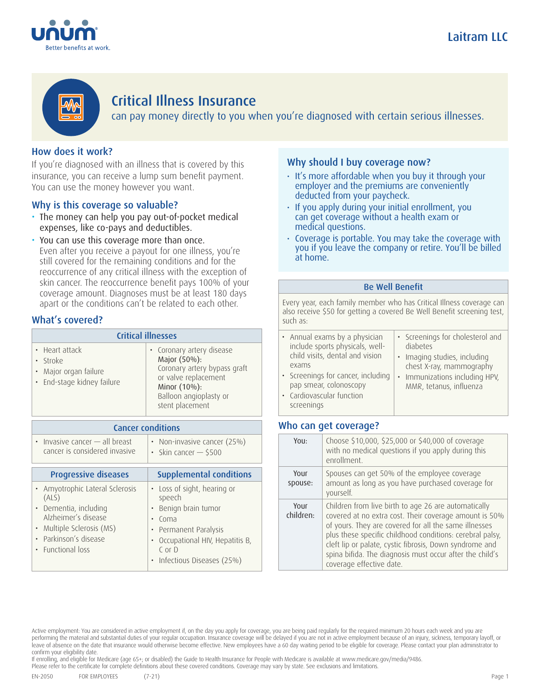



# Critical Illness Insurance

can pay money directly to you when you're diagnosed with certain serious illnesses.

## How does it work?

If you're diagnosed with an illness that is covered by this insurance, you can receive a lump sum benefit payment. You can use the money however you want.

### Why is this coverage so valuable?

- The money can help you pay out-of-pocket medical expenses, like co-pays and deductibles.
- You can use this coverage more than once. Even after you receive a payout for one illness, you're still covered for the remaining conditions and for the reoccurrence of any critical illness with the exception of skin cancer. The reoccurrence benefit pays 100% of your coverage amount. Diagnoses must be at least 180 days apart or the conditions can't be related to each other.

### What's covered?

| <b>Critical illnesses</b>                                                         |                                                                                                                                                                |  |
|-----------------------------------------------------------------------------------|----------------------------------------------------------------------------------------------------------------------------------------------------------------|--|
| • Heart attack<br>· Stroke<br>• Major organ failure<br>• End-stage kidney failure | • Coronary artery disease<br>Major (50%):<br>Coronary artery bypass graft<br>or valve replacement<br>Minor (10%):<br>Balloon angioplasty or<br>stent placement |  |

| <b>Cancer conditions</b>                                                                                                                                               |                                                                                                                                                                         |
|------------------------------------------------------------------------------------------------------------------------------------------------------------------------|-------------------------------------------------------------------------------------------------------------------------------------------------------------------------|
| $\cdot$ Invasive cancer $-$ all breast<br>cancer is considered invasive                                                                                                | • Non-invasive cancer (25%)<br>Skin cancer $-$ \$500<br>$\bullet$                                                                                                       |
| <b>Progressive diseases</b>                                                                                                                                            | <b>Supplemental conditions</b>                                                                                                                                          |
| • Amyotrophic Lateral Sclerosis<br>(ALS)<br>• Dementia, including<br>Alzheimer's disease<br>• Multiple Sclerosis (MS)<br>Parkinson's disease<br><b>Eunctional loss</b> | • Loss of sight, hearing or<br>speech<br>Benign brain tumor<br>Coma<br>Permanent Paralysis<br>Occupational HIV, Hepatitis B,<br>$C$ or $D$<br>Infectious Diseases (25%) |

#### Why should I buy coverage now?

- It's more affordable when you buy it through your employer and the premiums are conveniently deducted from your paycheck.
- If you apply during your initial enrollment, you can get coverage without a health exam or medical questions.
- Coverage is portable. You may take the coverage with you if you leave the company or retire. You'll be billed at home.

#### Be Well Benefit

Every year, each family member who has Critical Illness coverage can also receive \$50 for getting a covered Be Well Benefit screening test, such as:

| • Annual exams by a physician<br>include sports physicals, well-<br>child visits, dental and vision<br>exams | • Screenings for cholesterol and<br>diabetes<br>· Imaging studies, including<br>chest X-ray, mammography |
|--------------------------------------------------------------------------------------------------------------|----------------------------------------------------------------------------------------------------------|
| • Screenings for cancer, including<br>pap smear, colonoscopy                                                 | • Immunizations including HPV,<br>MMR, tetanus, influenza                                                |
| • Cardiovascular function                                                                                    |                                                                                                          |

### Who can get coverage?

screenings

| You:              | Choose \$10,000, \$25,000 or \$40,000 of coverage<br>with no medical questions if you apply during this<br>enrollment.                                                                                                                                                                                                                                                                  |
|-------------------|-----------------------------------------------------------------------------------------------------------------------------------------------------------------------------------------------------------------------------------------------------------------------------------------------------------------------------------------------------------------------------------------|
| YOUL<br>spouse:   | Spouses can get 50% of the employee coverage<br>amount as long as you have purchased coverage for<br>yourself.                                                                                                                                                                                                                                                                          |
| Your<br>children: | Children from live birth to age 26 are automatically<br>covered at no extra cost. Their coverage amount is 50%<br>of yours. They are covered for all the same illnesses<br>plus these specific childhood conditions: cerebral palsy,<br>cleft lip or palate, cystic fibrosis, Down syndrome and<br>spina bifida. The diagnosis must occur after the child's<br>coverage effective date. |

If enrolling, and eligible for Medicare (age 65+; or disabled) the Guide to Health Insurance for People with Medicare is available at www.medicare.gov/media/9486.

Please refer to the certificate for complete definitions about these covered conditions. Coverage may vary by state. See exclusions and limitations.

Active employment: You are considered in active employment if, on the day you apply for coverage, you are being paid regularly for the required minimum 20 hours each week and you are performing the material and substantial duties of your regular occupation. Insurance coverage will be delayed if you are not in active employment because of an injury, sickness, temporary layoff, or leave of absence on the date that insurance would otherwise become effective. New employees have a 60 day waiting period to be eligible for coverage. Please contact your plan administrator to confirm your eligibility date.